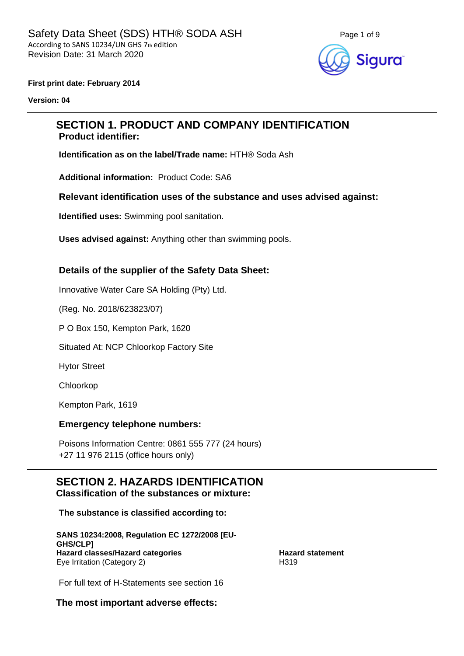

**First print date: February 2014**

**Version: 04**

## **SECTION 1. PRODUCT AND COMPANY IDENTIFICATION Product identifier:**

**Identification as on the label/Trade name:** HTH® Soda Ash

**Additional information:** Product Code: SA6

**Relevant identification uses of the substance and uses advised against:**

**Identified uses:** Swimming pool sanitation.

**Uses advised against:** Anything other than swimming pools.

#### **Details of the supplier of the Safety Data Sheet:**

Innovative Water Care SA Holding (Pty) Ltd.

(Reg. No. 2018/623823/07)

P O Box 150, Kempton Park, 1620

Situated At: NCP Chloorkop Factory Site

Hytor Street

Chloorkop

Kempton Park, 1619

#### **Emergency telephone numbers:**

Poisons Information Centre: 0861 555 777 (24 hours) +27 11 976 2115 (office hours only)

#### **SECTION 2. HAZARDS IDENTIFICATION Classification of the substances or mixture:**

**The substance is classified according to:**

**SANS 10234:2008, Regulation EC 1272/2008 [EU-GHS/CLP] Hazard classes/Hazard categories Hazard statement** Eye Irritation (Category 2) H319

For full text of H-Statements see section 16

**The most important adverse effects:**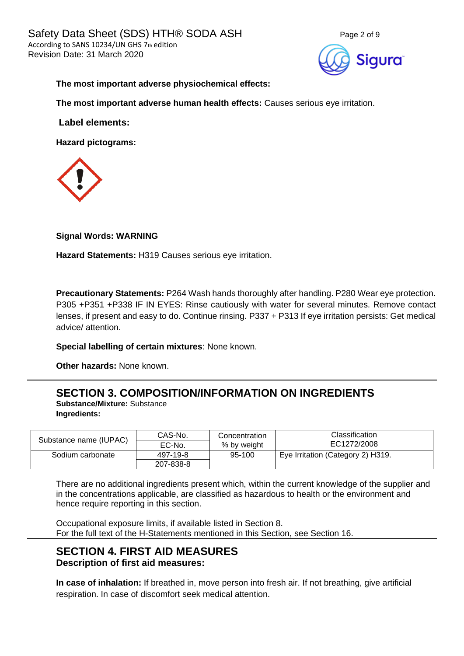

#### **The most important adverse physiochemical effects:**

**The most important adverse human health effects:** Causes serious eye irritation.

**Label elements:**

**Hazard pictograms:**



#### **Signal Words: WARNING**

**Hazard Statements:** H319 Causes serious eye irritation.

**Precautionary Statements:** P264 Wash hands thoroughly after handling. P280 Wear eye protection. P305 +P351 +P338 IF IN EYES: Rinse cautiously with water for several minutes. Remove contact lenses, if present and easy to do. Continue rinsing. P337 + P313 If eye irritation persists: Get medical advice/ attention.

**Special labelling of certain mixtures**: None known.

**Other hazards:** None known.

## **SECTION 3. COMPOSITION/INFORMATION ON INGREDIENTS**

**Substance/Mixture:** Substance **Ingredients:**

|                        | CAS-No.   | Concentration | <b>Classification</b>             |  |
|------------------------|-----------|---------------|-----------------------------------|--|
| Substance name (IUPAC) | EC-No.    | % by weight   | EC1272/2008                       |  |
| Sodium carbonate       | 497-19-8  | 95-100        | Eye Irritation (Category 2) H319. |  |
|                        | 207-838-8 |               |                                   |  |

There are no additional ingredients present which, within the current knowledge of the supplier and in the concentrations applicable, are classified as hazardous to health or the environment and hence require reporting in this section.

Occupational exposure limits, if available listed in Section 8. For the full text of the H-Statements mentioned in this Section, see Section 16.

## **SECTION 4. FIRST AID MEASURES Description of first aid measures:**

**In case of inhalation:** If breathed in, move person into fresh air. If not breathing, give artificial respiration. In case of discomfort seek medical attention.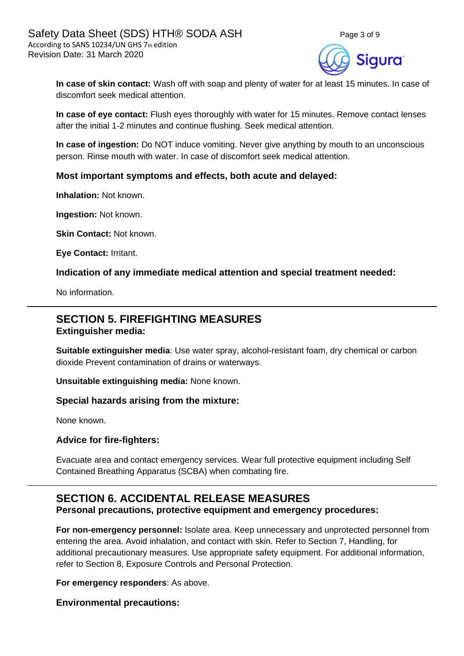

**In case of skin contact:** Wash off with soap and plenty of water for at least 15 minutes. In case of discomfort seek medical attention.

**In case of eye contact:** Flush eyes thoroughly with water for 15 minutes. Remove contact lenses after the initial 1-2 minutes and continue flushing. Seek medical attention.

**In case of ingestion:** Do NOT induce vomiting. Never give anything by mouth to an unconscious person. Rinse mouth with water. In case of discomfort seek medical attention.

#### **Most important symptoms and effects, both acute and delayed:**

**Inhalation:** Not known.

**Ingestion:** Not known.

**Skin Contact: Not known.** 

**Eye Contact:** Irritant.

**Indication of any immediate medical attention and special treatment needed:**

No information.

### **SECTION 5. FIREFIGHTING MEASURES Extinguisher media:**

**Suitable extinguisher media**: Use water spray, alcohol-resistant foam, dry chemical or carbon dioxide Prevent contamination of drains or waterways.

**Unsuitable extinguishing media:** None known.

#### **Special hazards arising from the mixture:**

None known.

#### **Advice for fire-fighters:**

Evacuate area and contact emergency services. Wear full protective equipment including Self Contained Breathing Apparatus (SCBA) when combating fire.

# **SECTION 6. ACCIDENTAL RELEASE MEASURES**

**Personal precautions, protective equipment and emergency procedures:**

**For non-emergency personnel:** Isolate area. Keep unnecessary and unprotected personnel from entering the area. Avoid inhalation, and contact with skin. Refer to Section 7, Handling, for additional precautionary measures. Use appropriate safety equipment. For additional information, refer to Section 8, Exposure Controls and Personal Protection.

**For emergency responders**: As above.

**Environmental precautions:**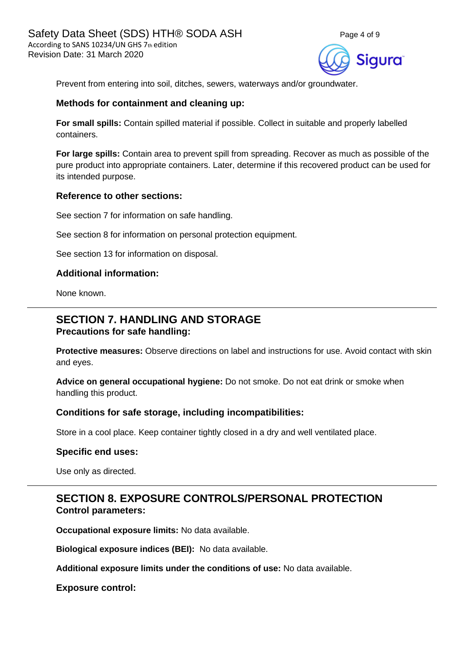



Prevent from entering into soil, ditches, sewers, waterways and/or groundwater.

#### **Methods for containment and cleaning up:**

**For small spills:** Contain spilled material if possible. Collect in suitable and properly labelled containers.

**For large spills:** Contain area to prevent spill from spreading. Recover as much as possible of the pure product into appropriate containers. Later, determine if this recovered product can be used for its intended purpose.

#### **Reference to other sections:**

See section 7 for information on safe handling.

See section 8 for information on personal protection equipment.

See section 13 for information on disposal.

#### **Additional information:**

None known.

## **SECTION 7. HANDLING AND STORAGE Precautions for safe handling:**

**Protective measures:** Observe directions on label and instructions for use. Avoid contact with skin and eyes.

**Advice on general occupational hygiene:** Do not smoke. Do not eat drink or smoke when handling this product.

#### **Conditions for safe storage, including incompatibilities:**

Store in a cool place. Keep container tightly closed in a dry and well ventilated place.

#### **Specific end uses:**

Use only as directed.

## **SECTION 8. EXPOSURE CONTROLS/PERSONAL PROTECTION Control parameters:**

**Occupational exposure limits:** No data available.

**Biological exposure indices (BEI):** No data available.

**Additional exposure limits under the conditions of use:** No data available.

**Exposure control:**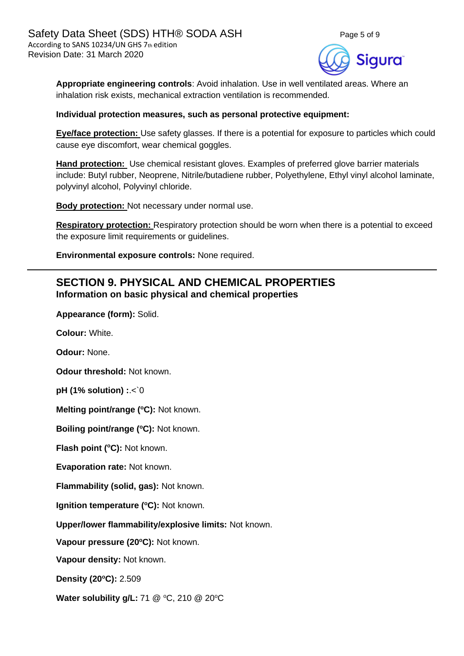



**Appropriate engineering controls**: Avoid inhalation. Use in well ventilated areas. Where an inhalation risk exists, mechanical extraction ventilation is recommended.

#### **Individual protection measures, such as personal protective equipment:**

**Eye/face protection:** Use safety glasses. If there is a potential for exposure to particles which could cause eye discomfort, wear chemical goggles.

**Hand protection:** Use chemical resistant gloves. Examples of preferred glove barrier materials include: Butyl rubber, Neoprene, Nitrile/butadiene rubber, Polyethylene, Ethyl vinyl alcohol laminate, polyvinyl alcohol, Polyvinyl chloride.

**Body protection:** Not necessary under normal use.

**Respiratory protection:** Respiratory protection should be worn when there is a potential to exceed the exposure limit requirements or guidelines.

**Environmental exposure controls:** None required.

## **SECTION 9. PHYSICAL AND CHEMICAL PROPERTIES Information on basic physical and chemical properties**

**Appearance (form):** Solid.

**Colour:** White.

**Odour:** None.

**Odour threshold:** Not known.

**pH (1% solution) :**.<`0

**Melting point/range (<sup>o</sup>C):** Not known.

**Boiling point/range (<sup>o</sup>C):** Not known.

**Flash point (°C):** Not known.

**Evaporation rate:** Not known.

**Flammability (solid, gas):** Not known.

**Ignition temperature (°C):** Not known.

**Upper/lower flammability/explosive limits:** Not known.

**Vapour pressure (20<sup>o</sup>C):** Not known.

**Vapour density:** Not known.

**Density (20 <sup>o</sup>C):** 2.509

**Water solubility g/L:** 71 @ °C, 210 @ 20°C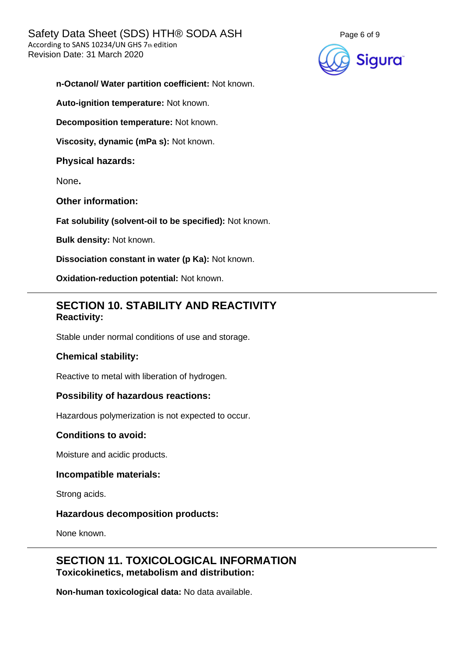

**n-Octanol/ Water partition coefficient:** Not known.

**Auto-ignition temperature:** Not known.

**Decomposition temperature:** Not known.

**Viscosity, dynamic (mPa s):** Not known.

**Physical hazards:**

None**.**

**Other information:**

**Fat solubility (solvent-oil to be specified):** Not known.

**Bulk density:** Not known.

**Dissociation constant in water (p Ka):** Not known.

**Oxidation-reduction potential:** Not known.

## **SECTION 10. STABILITY AND REACTIVITY Reactivity:**

Stable under normal conditions of use and storage.

#### **Chemical stability:**

Reactive to metal with liberation of hydrogen.

#### **Possibility of hazardous reactions:**

Hazardous polymerization is not expected to occur.

#### **Conditions to avoid:**

Moisture and acidic products.

#### **Incompatible materials:**

Strong acids.

#### **Hazardous decomposition products:**

None known.

## **SECTION 11. TOXICOLOGICAL INFORMATION Toxicokinetics, metabolism and distribution:**

**Non-human toxicological data:** No data available.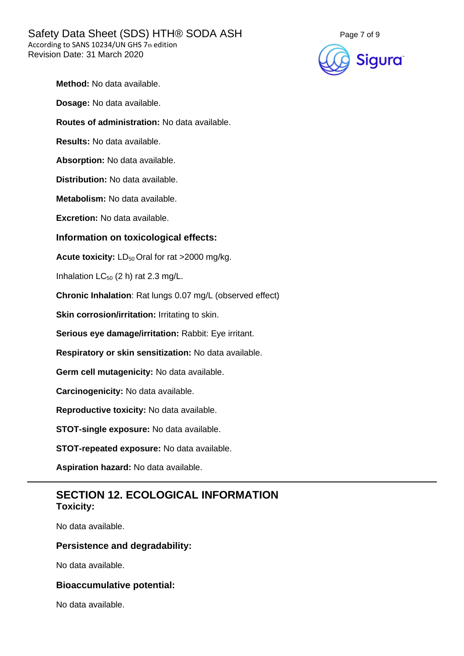

| Method: No data available.                                       |  |  |  |  |
|------------------------------------------------------------------|--|--|--|--|
| Dosage: No data available.                                       |  |  |  |  |
| Routes of administration: No data available.                     |  |  |  |  |
| Results: No data available.                                      |  |  |  |  |
| Absorption: No data available.                                   |  |  |  |  |
| Distribution: No data available.                                 |  |  |  |  |
| Metabolism: No data available.                                   |  |  |  |  |
| Excretion: No data available.                                    |  |  |  |  |
| Information on toxicological effects:                            |  |  |  |  |
| <b>Acute toxicity:</b> $LD_{50}$ Oral for rat >2000 mg/kg.       |  |  |  |  |
| Inhalation $LC_{50}$ (2 h) rat 2.3 mg/L.                         |  |  |  |  |
| <b>Chronic Inhalation:</b> Rat lungs 0.07 mg/L (observed effect) |  |  |  |  |
| Skin corrosion/irritation: Irritating to skin.                   |  |  |  |  |
| Serious eye damage/irritation: Rabbit: Eye irritant.             |  |  |  |  |
| Respiratory or skin sensitization: No data available.            |  |  |  |  |
| Germ cell mutagenicity: No data available.                       |  |  |  |  |
| Carcinogenicity: No data available.                              |  |  |  |  |
| Reproductive toxicity: No data available.                        |  |  |  |  |
| STOT-single exposure: No data available.                         |  |  |  |  |
| STOT-repeated exposure: No data available.                       |  |  |  |  |
| Aspiration hazard: No data available.                            |  |  |  |  |
|                                                                  |  |  |  |  |

## **SECTION 12. ECOLOGICAL INFORMATION Toxicity:**

No data available.

## **Persistence and degradability:**

No data available.

## **Bioaccumulative potential:**

No data available.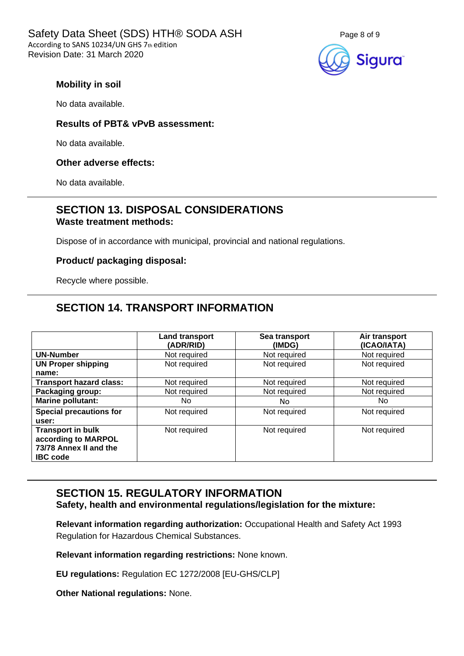

### **Mobility in soil**

No data available.

#### **Results of PBT& vPvB assessment:**

No data available.

#### **Other adverse effects:**

No data available.

## **SECTION 13. DISPOSAL CONSIDERATIONS Waste treatment methods:**

Dispose of in accordance with municipal, provincial and national regulations.

#### **Product/ packaging disposal:**

Recycle where possible.

## **SECTION 14. TRANSPORT INFORMATION**

|                                                                                              | <b>Land transport</b><br>(ADR/RID) | Sea transport<br>(IMDG) | Air transport<br>(ICAO/IATA) |
|----------------------------------------------------------------------------------------------|------------------------------------|-------------------------|------------------------------|
| <b>UN-Number</b>                                                                             | Not required                       | Not required            | Not required                 |
| <b>UN Proper shipping</b>                                                                    | Not required                       | Not required            | Not required                 |
| name:                                                                                        |                                    |                         |                              |
| <b>Transport hazard class:</b>                                                               | Not required                       | Not required            | Not required                 |
| Packaging group:                                                                             | Not required                       | Not required            | Not required                 |
| Marine pollutant:                                                                            | No.                                | No.                     | No.                          |
| <b>Special precautions for</b><br>user:                                                      | Not required                       | Not required            | Not required                 |
| <b>Transport in bulk</b><br>according to MARPOL<br>73/78 Annex II and the<br><b>IBC</b> code | Not required                       | Not required            | Not required                 |

# **SECTION 15. REGULATORY INFORMATION**

**Safety, health and environmental regulations/legislation for the mixture:**

**Relevant information regarding authorization:** Occupational Health and Safety Act 1993 Regulation for Hazardous Chemical Substances.

**Relevant information regarding restrictions:** None known.

**EU regulations:** Regulation EC 1272/2008 [EU-GHS/CLP]

**Other National regulations:** None.